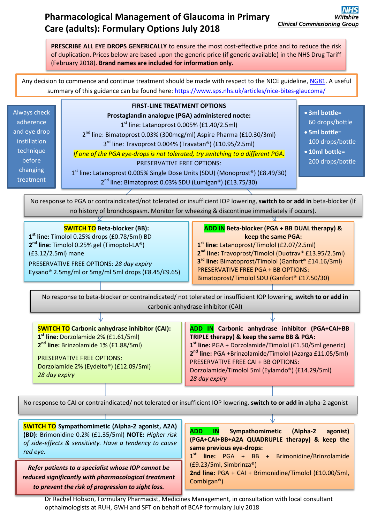# **Pharmacological Management of Glaucoma in Primary Care (adults): Formulary Options July 2018**

**PRESCRIBE ALL EYE DROPS GENERICALLY** to ensure the most cost-effective price and to reduce the risk of duplication. Prices below are based upon the generic price (if generic available) in the NHS Drug Tariff (February 2018). **Brand names are included for information only.**

Any decision to commence and continue treatment should be made with respect to the NICE guideline[, NG81.](https://www.nice.org.uk/guidance/ng81) A useful summary of this guidance can be found here:<https://www.sps.nhs.uk/articles/nice-bites-glaucoma/>

Always check adherence and eye drop instillation technique before changing treatment

**FIRST-LINE TREATMENT OPTIONS Prostaglandin analogue (PGA) administered nocte:** 1<sup>st</sup> line: Latanoprost 0.005% (£1.40/2.5ml) 2<sup>nd</sup> line: Bimatoprost 0.03% (300mcg/ml) Aspire Pharma (£10.30/3ml) 3<sup>rd</sup> line: Travoprost 0.004% (Travatan®) (£10.95/2.5ml) *If one of the PGA eye-drops is not tolerated, try switching to a different PGA.* PRESERVATIVE FREE OPTIONS: 1<sup>st</sup> line: Latanoprost 0.005% Single Dose Units (SDU) (Monoprost®) (£8.49/30) 2<sup>nd</sup> line: Bimatoprost 0.03% SDU (Lumigan®) (£13.75/30)

**3ml bottle**=

60 drops/bottle

- **5ml bottle**= 100 drops/bottle
- **10ml bottle**= 200 drops/bottle

No response to PGA or contraindicated/not tolerated or insufficient IOP lowering, **switch to or add in** beta-blocker (If no history of bronchospasm. Monitor for wheezing & discontinue immediately if occurs).

## **SWITCH TO Beta-blocker (BB):**

**1 st line:** Timolol 0.25% drops (£0.78/5ml) BD **2 nd line:** Timolol 0.25% gel (Timoptol-LA®) (£3.12/2.5ml) mane PRESERVATIVE FREE OPTIONS: *28 day expiry* Eysano® 2.5mg/ml or 5mg/ml 5ml drops (£8.45/£9.65) **ADD IN Beta-blocker (PGA + BB DUAL therapy) & keep the same PGA:**

**1 st line:** Latanoprost/Timolol (£2.07/2.5ml) **2 nd line:** Travoprost/Timolol (Duotrav® £13.95/2.5ml) **3 rd line:** Bimatoprost/Timolol (Ganfort® £14.16/3ml) PRESERVATIVE FREE PGA + BB OPTIONS: Bimatoprost/Timolol SDU (Ganfort® £17.50/30)

No response to beta-blocker or contraindicated/ not tolerated or insufficient IOP lowering, **switch to or add in** carbonic anhydrase inhibitor (CAI)

| <b>SWITCH TO Carbonic anhydrase inhibitor (CAI):</b><br>1 <sup>st</sup> line: Dorzolamide 2% (£1.61/5ml)<br>2 <sup>nd</sup> line: Brinzolamide 1% (£1.88/5ml)<br>PRESERVATIVE FREE OPTIONS:<br>Dorzolamide 2% (Eydelto®) (£12.09/5ml) | ADD IN Carbonic anhydrase inhibitor (PGA+CAI+BB<br>TRIPLE therapy) & keep the same BB & PGA:<br>$1st$ line: PGA + Dorzolamide/Timolol (£1.50/5ml generic)<br>2 <sup>nd</sup> line: PGA +Brinzolamide/Timolol (Azarga £11.05/5ml)<br><b>PRESERVATIVE FREE CAI + BB OPTIONS:</b><br>Dorzolamide/Timolol 5ml (Eylamdo®) (£14.29/5ml) |
|---------------------------------------------------------------------------------------------------------------------------------------------------------------------------------------------------------------------------------------|-----------------------------------------------------------------------------------------------------------------------------------------------------------------------------------------------------------------------------------------------------------------------------------------------------------------------------------|
| 28 day expiry                                                                                                                                                                                                                         | 28 day expiry                                                                                                                                                                                                                                                                                                                     |

No response to CAI or contraindicated/ not tolerated or insufficient IOP lowering, **switch to or add in** alpha-2 agonist

**SWITCH TO Sympathomimetic (Alpha-2 agonist, A2A) (BD):** Brimonidine 0.2% (£1.35/5ml) **NOTE:** *Higher risk of side-effects & sensitivity. Have a tendency to cause red eye.*

*Refer patients to a specialist whose IOP cannot be reduced significantly with pharmacological treatment to prevent the risk of progression to sight loss.*

**ADD IN Sympathomimetic (Alpha-2 agonist) (PGA+CAI+BB+A2A QUADRUPLE therapy) & keep the same previous eye-drops: 1 st line:** PGA + BB + Brimonidine/Brinzolamide

(£9.23/5ml, Simbrinza®)

**2nd line:** PGA + CAI + Brimonidine/Timolol (£10.00/5ml, Combigan®)

Dr Rachel Hobson, Formulary Pharmacist, Medicines Management, in consultation with local consultant opthalmologists at RUH, GWH and SFT on behalf of BCAP formulary July 2018